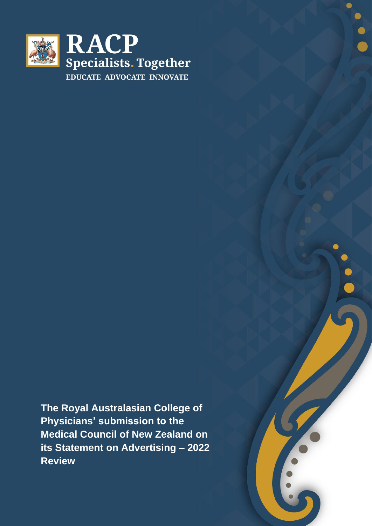

**The Royal Australasian College of Physicians' submission to the Medical Council of New Zealand on its Statement on Advertising – 2022 Review**

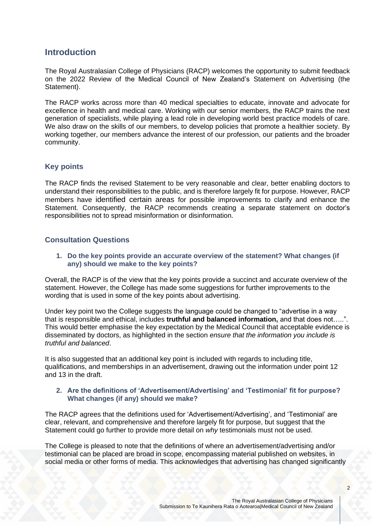# **Introduction**

The Royal Australasian College of Physicians (RACP) welcomes the opportunity to submit feedback on the 2022 Review of the Medical Council of New Zealand's Statement on Advertising (the Statement).

The RACP works across more than 40 medical specialties to educate, innovate and advocate for excellence in health and medical care. Working with our senior members, the RACP trains the next generation of specialists, while playing a lead role in developing world best practice models of care. We also draw on the skills of our members, to develop policies that promote a healthier society. By working together, our members advance the interest of our profession, our patients and the broader community.

## **Key points**

The RACP finds the revised Statement to be very reasonable and clear, better enabling doctors to understand their responsibilities to the public, and is therefore largely fit for purpose. However, RACP members have identified certain areas for possible improvements to clarify and enhance the Statement. Consequently, the RACP recommends creating a separate statement on doctor's responsibilities not to spread misinformation or disinformation.

## **Consultation Questions**

**1. Do the key points provide an accurate overview of the statement? What changes (if any) should we make to the key points?** 

Overall, the RACP is of the view that the key points provide a succinct and accurate overview of the statement. However, the College has made some suggestions for further improvements to the wording that is used in some of the key points about advertising.

Under key point two the College suggests the language could be changed to "advertise in a way that is responsible and ethical, includes **truthful and balanced information,** and that does not…..". This would better emphasise the key expectation by the Medical Council that acceptable evidence is disseminated by doctors, as highlighted in the section *ensure that the information you include is truthful and balanced*.

It is also suggested that an additional key point is included with regards to including title, qualifications, and memberships in an advertisement, drawing out the information under point 12 and 13 in the draft.

### **2. Are the definitions of 'Advertisement/Advertising' and 'Testimonial' fit for purpose? What changes (if any) should we make?**

The RACP agrees that the definitions used for 'Advertisement/Advertising', and 'Testimonial' are clear, relevant, and comprehensive and therefore largely fit for purpose, but suggest that the Statement could go further to provide more detail on *why* testimonials must not be used.

The College is pleased to note that the definitions of where an advertisement/advertising and/or testimonial can be placed are broad in scope, encompassing material published on websites, in social media or other forms of media. This acknowledges that advertising has changed significantly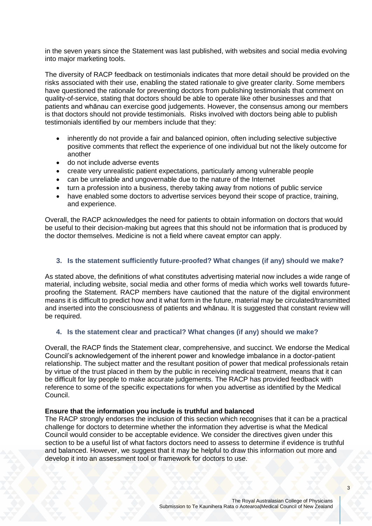in the seven years since the Statement was last published, with websites and social media evolving into major marketing tools.

The diversity of RACP feedback on testimonials indicates that more detail should be provided on the risks associated with their use, enabling the stated rationale to give greater clarity. Some members have questioned the rationale for preventing doctors from publishing testimonials that comment on quality-of-service, stating that doctors should be able to operate like other businesses and that patients and whānau can exercise good judgements. However, the consensus among our members is that doctors should not provide testimonials. Risks involved with doctors being able to publish testimonials identified by our members include that they:

- inherently do not provide a fair and balanced opinion, often including selective subjective positive comments that reflect the experience of one individual but not the likely outcome for another
- do not include adverse events
- create very unrealistic patient expectations, particularly among vulnerable people
- can be unreliable and ungovernable due to the nature of the Internet
- turn a profession into a business, thereby taking away from notions of public service
- have enabled some doctors to advertise services beyond their scope of practice, training, and experience.

Overall, the RACP acknowledges the need for patients to obtain information on doctors that would be useful to their decision-making but agrees that this should not be information that is produced by the doctor themselves. Medicine is not a field where caveat emptor can apply.

## **3. Is the statement sufficiently future-proofed? What changes (if any) should we make?**

As stated above, the definitions of what constitutes advertising material now includes a wide range of material, including website, social media and other forms of media which works well towards futureproofing the Statement. RACP members have cautioned that the nature of the digital environment means it is difficult to predict how and it what form in the future, material may be circulated/transmitted and inserted into the consciousness of patients and whānau. It is suggested that constant review will be required.

## **4. Is the statement clear and practical? What changes (if any) should we make?**

Overall, the RACP finds the Statement clear, comprehensive, and succinct. We endorse the Medical Council's acknowledgement of the inherent power and knowledge imbalance in a doctor-patient relationship. The subject matter and the resultant position of power that medical professionals retain by virtue of the trust placed in them by the public in receiving medical treatment, means that it can be difficult for lay people to make accurate judgements. The RACP has provided feedback with reference to some of the specific expectations for when you advertise as identified by the Medical Council.

#### **Ensure that the information you include is truthful and balanced**

The RACP strongly endorses the inclusion of this section which recognises that it can be a practical challenge for doctors to determine whether the information they advertise is what the Medical Council would consider to be acceptable evidence. We consider the directives given under this section to be a useful list of what factors doctors need to assess to determine if evidence is truthful and balanced. However, we suggest that it may be helpful to draw this information out more and develop it into an assessment tool or framework for doctors to use.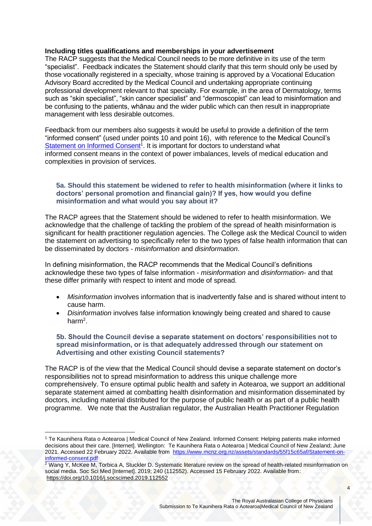### **Including titles qualifications and memberships in your advertisement**

The RACP suggests that the Medical Council needs to be more definitive in its use of the term "specialist". Feedback indicates the Statement should clarify that this term should only be used by those vocationally registered in a specialty, whose training is approved by a Vocational Education Advisory Board accredited by the Medical Council and undertaking appropriate continuing professional development relevant to that specialty. For example, in the area of Dermatology, terms such as "skin specialist", "skin cancer specialist" and "dermoscopist" can lead to misinformation and be confusing to the patients, whānau and the wider public which can then result in inappropriate management with less desirable outcomes.

Feedback from our members also suggests it would be useful to provide a definition of the term "informed consent" (used under points 10 and point 16), with reference to the Medical Council's [Statement on Informed Consent](https://www.mcnz.org.nz/assets/standards/55f15c65af/Statement-on-informed-consent.pdf)<sup>1</sup>. It is important for doctors to understand what informed consent means in the context of power imbalances, levels of medical education and complexities in provision of services.

### **5a. Should this statement be widened to refer to health misinformation (where it links to doctors' personal promotion and financial gain)? If yes, how would you define misinformation and what would you say about it?**

The RACP agrees that the Statement should be widened to refer to health misinformation. We acknowledge that the challenge of tackling the problem of the spread of health misinformation is significant for health practitioner regulation agencies. The College ask the Medical Council to widen the statement on advertising to specifically refer to the two types of false health information that can be disseminated by doctors - *misinformation* and *disinformation*.

In defining misinformation, the RACP recommends that the Medical Council's definitions acknowledge these two types of false information - *misinformation* and *disinformation*- and that these differ primarily with respect to intent and mode of spread.

- *Misinformation* involves information that is inadvertently false and is shared without intent to cause harm.
- *Disinformation* involves false information knowingly being created and shared to cause harm<sup>2</sup>.

#### **5b. Should the Council devise a separate statement on doctors' responsibilities not to spread misinformation, or is that adequately addressed through our statement on Advertising and other existing Council statements?**

The RACP is of the view that the Medical Council should devise a separate statement on doctor's responsibilities not to spread misinformation to address this unique challenge more comprehensively. To ensure optimal public health and safety in Aotearoa, we support an additional separate statement aimed at combatting health disinformation and misinformation disseminated by doctors, including material distributed for the purpose of public health or as part of a public health programme. We note that the Australian regulator, the Australian Health Practitioner Regulation

<sup>1</sup> Te Kaunihera Rata o Aotearoa | Medical Council of New Zealand. Informed Consent: Helping patients make informed decisions about their care. [Internet]. Wellington: Te Kaunihera Rata o Aotearoa | Medical Council of New Zealand; June 2021. Accessed 22 February 2022. Available from [https://www.mcnz.org.nz/assets/standards/55f15c65af/Statement-on](https://www.mcnz.org.nz/assets/standards/55f15c65af/Statement-on-informed-consent.pdf)[informed-consent.pdf](https://www.mcnz.org.nz/assets/standards/55f15c65af/Statement-on-informed-consent.pdf)

 $2$  Wang Y, McKee M, Torbica A, Stuckler D. Systematic literature review on the spread of health-related misinformation on social media. Soc Sci Med [Internet]. 2019; 240 (112552). Accessed 15 February 2022. Available from: <https://doi.org/10.1016/j.socscimed.2019.112552>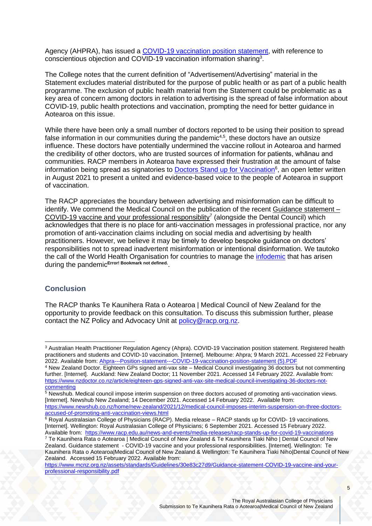Agency (AHPRA), has issued a [COVID-19 vaccination position statement,](file:///C:/Users/dcookson/OneDrive%20-%20Royal%20Australasian%20College%20of%20Physicians/Desktop/Ahpra---Position-statement---COVID-19-vaccination-position-statement%20(5).pdf) with reference to conscientious objection and COVID-19 vaccination information sharing<sup>3</sup>.

The College notes that the current definition of "Advertisement/Advertising" material in the Statement excludes material distributed for the purpose of public health or as part of a public health programme. The exclusion of public health material from the Statement could be problematic as a key area of concern among doctors in relation to advertising is the spread of false information about COVID-19, public health protections and vaccination, prompting the need for better guidance in Aotearoa on this issue.

While there have been only a small number of doctors reported to be using their position to spread false information in our communities during the pandemic<sup>4,5</sup>, these doctors have an outsize influence. These doctors have potentially undermined the vaccine rollout in Aotearoa and harmed the credibility of other doctors, who are trusted sources of information for patients, whānau and communities. RACP members in Aotearoa have expressed their frustration at the amount of false information being spread as signatories to **Doctors Stand up for Vaccination**<sup>6</sup>, an open letter written in August 2021 to present a united and evidence-based voice to the people of Aotearoa in support of vaccination.

The RACP appreciates the boundary between advertising and misinformation can be difficult to identify. We commend the Medical Council on the publication of the recent [Guidance statement](https://www.mcnz.org.nz/assets/standards/Guidelines/30e83c27d9/Guidance-statement-COVID-19-vaccine-and-your-professional-responsibility.pdf) – COVID-19 vaccine and your professional responsiblity<sup>7</sup> (alongside the Dental Council) which acknowledges that there is no place for anti-vaccination messages in professional practice, nor any promotion of anti-vaccination claims including on social media and advertising by health practitioners. However, we believe it may be timely to develop bespoke guidance on doctors' responsibilities not to spread inadvertent misinformation or intentional disinformation. We tautoko the call of the World Health Organisation for countries to manage the *infodemic* that has arisen during the pandemic**Error! Bookmark not defined.** .

## **Conclusion**

The RACP thanks Te Kaunihera Rata o Aotearoa | Medical Council of New Zealand for the opportunity to provide feedback on this consultation. To discuss this submission further, please contact the NZ Policy and Advocacy Unit at [policy@racp.org.nz.](mailto:policy@racp.org.nz)

 $6$  Royal Australasian College of Physicians (RACP). Media release – RACP stands up for COVID-19 vaccinations. [Internet]. Wellington: Royal Australasian College of Physicians; 6 September 2021. Accessed 15 February 2022.

<sup>&</sup>lt;sup>3</sup> Australian Health Practitioner Regulation Agency (Ahpra). COVID-19 Vaccination position statement. Registered health practitioners and students and COVID-10 vaccination. [Internet]. Melbourne: Ahpra; 9 March 2021. Accessed 22 February 2022. Available from: [Ahpra---Position-statement---COVID-19-vaccination-position-statement \(5\).PDF](file:///C:/Users/dcookson/Downloads/Ahpra---Position-statement---COVID-19-vaccination-position-statement%20(5).PDF)

<sup>4</sup> New Zealand Doctor. Eighteen GPs signed anti-vax site – Medical Council investigating 36 doctors but not commenting further. [Internet]. Auckland: New Zealand Doctor; 11 November 2021. Accessed 14 February 2022. Available from: [https://www.nzdoctor.co.nz/article/eighteen-gps-signed-anti-vax-site-medical-council-investigating-36-doctors-not](https://www.nzdoctor.co.nz/article/eighteen-gps-signed-anti-vax-site-medical-council-investigating-36-doctors-not-commenting)[commenting](https://www.nzdoctor.co.nz/article/eighteen-gps-signed-anti-vax-site-medical-council-investigating-36-doctors-not-commenting)

<sup>5</sup> Newshub. Medical council impose interim suspension on three doctors accused of promoting anti-vaccination views. [Internet]. Newshub New Zealand; 14 December 2021. Accessed 14 February 2022. Available from: [https://www.newshub.co.nz/home/new-zealand/2021/12/medical-council-imposes-interim-suspension-on-three-doctors](https://www.newshub.co.nz/home/new-zealand/2021/12/medical-council-imposes-interim-suspension-on-three-doctors-accused-of-promoting-anti-vaccination-views.html)[accused-of-promoting-anti-vaccination-views.html](https://www.newshub.co.nz/home/new-zealand/2021/12/medical-council-imposes-interim-suspension-on-three-doctors-accused-of-promoting-anti-vaccination-views.html)

Available from:<https://www.racp.edu.au/news-and-events/media-releases/racp-stands-up-for-covid-19-vaccinations> <sup>7</sup> Te Kaunihera Rata o Aotearoa | Medical Council of New Zealand & Te Kaunihera Tiaki Niho | Dental Council of New Zealand. Guidance statement - COVID-19 vaccine and your professional responsibilities. [Internet]. Wellington: Te Kaunihera Rata o Aotearoa|Medical Council of New Zealand & Wellington: Te Kaunihera Tiaki Niho|Dental Council of New Zealand. Accessed 15 February 2022. Available from:

[https://www.mcnz.org.nz/assets/standards/Guidelines/30e83c27d9/Guidance-statement-COVID-19-vaccine-and-your](https://www.mcnz.org.nz/assets/standards/Guidelines/30e83c27d9/Guidance-statement-COVID-19-vaccine-and-your-professional-responsibility.pdf)[professional-responsibility.pdf](https://www.mcnz.org.nz/assets/standards/Guidelines/30e83c27d9/Guidance-statement-COVID-19-vaccine-and-your-professional-responsibility.pdf)